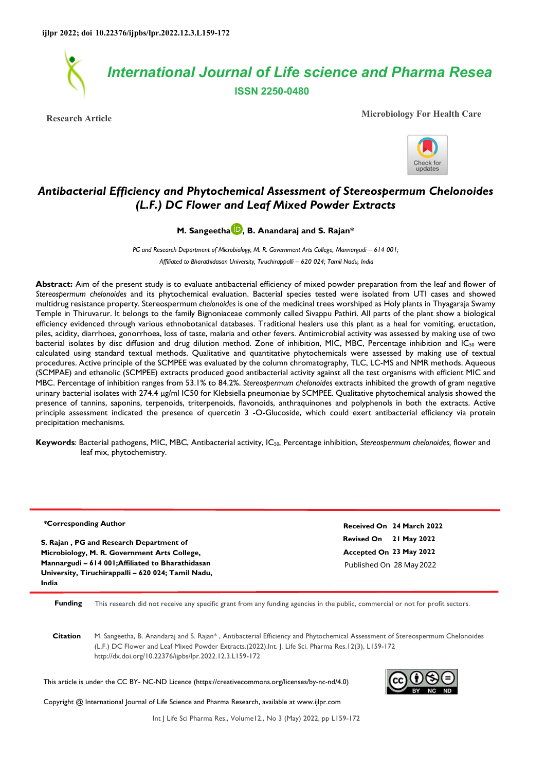

**Research Article Microbiology For Health Care**



# *Antibacterial Efficiency and Phytochemical Assessment of Stereospermum Chelonoides (L.F.) DC Flower and Leaf Mixed Powder Extracts*

# **M. Sangeetha D. B. Anandaraj and S. Rajan\***

*PG and Research Department of Microbiology, M. R. Government Arts College, Mannargudi – 614 001; Affiliated to Bharathidasan University, Tiruchirappalli – 620 024; Tamil Nadu, India* 

Abstract: Aim of the present study is to evaluate antibacterial efficiency of mixed powder preparation from the leaf and flower of *Stereospermum chelonoides* and its phytochemical evaluation. Bacterial species tested were isolated from UTI cases and showed multidrug resistance property. Stereospermum *chelonoides* is one of the medicinal trees worshiped as Holy plants in Thyagaraja Swamy Temple in Thiruvarur. It belongs to the family Bignoniaceae commonly called Sivappu Pathiri. All parts of the plant show a biological efficiency evidenced through various ethnobotanical databases. Traditional healers use this plant as a heal for vomiting, eructation, piles, acidity, diarrhoea, gonorrhoea, loss of taste, malaria and other fevers. Antimicrobial activity was assessed by making use of two bacterial isolates by disc diffusion and drug dilution method. Zone of inhibition, MIC, MBC, Percentage inhibition and IC<sub>50</sub> were calculated using standard textual methods. Qualitative and quantitative phytochemicals were assessed by making use of textual procedures. Active principle of the SCMPEE was evaluated by the column chromatography, TLC, LC-MS and NMR methods. Aqueous (SCMPAE) and ethanolic (SCMPEE) extracts produced good antibacterial activity against all the test organisms with efficient MIC and MBC. Percentage of inhibition ranges from 53.1% to 84.2%. *Stereospermum chelonoides* extracts inhibited the growth of gram negative urinary bacterial isolates with 274.4 μg/ml IC50 for Klebsiella pneumoniae by SCMPEE. Qualitative phytochemical analysis showed the presence of tannins, saponins, terpenoids, triterpenoids, flavonoids, anthraquinones and polyphenols in both the extracts. Active principle assessment indicated the presence of quercetin 3 -O-Glucoside, which could exert antibacterial efficiency via protein precipitation mechanisms.

**Keywords**: Bacterial pathogens, MIC, MBC, Antibacterial activity, IC50, Percentage inhibition, *Stereospermum chelonoides,* flower and leaf mix, phytochemistry.

| *Corresponding Author                              | Received On 24 March 2022 |
|----------------------------------------------------|---------------------------|
| S. Rajan, PG and Research Department of            | Revised On 21 May 2022    |
| Microbiology, M. R. Government Arts College,       | Accepted On 23 May 2022   |
| Mannargudi - 614 001; Affiliated to Bharathidasan  | Published On 28 May 2022  |
| University, Tiruchirappalli - 620 024; Tamil Nadu, |                           |
| India                                              |                           |

**Funding** This research did not receive any specific grant from any funding agencies in the public, commercial or not for profit sectors.

**Citation** M. Sangeetha, B. Anandaraj and S. Rajan\* , Antibacterial Efficiency and Phytochemical Assessment of Stereospermum Chelonoides (L.F.) DC Flower and Leaf Mixed Powder Extracts.(2022).Int. J. Life Sci. Pharma Res.12(3), L159-172 http://dx.doi.org/10.22376/ijpbs/lpr.2022.12.3.L159-172

This article is under the CC BY- NC-ND Licence (https://creativecommons.org/licenses/by-nc-nd/4.0)



Copyright @ International Journal of Life Science and Pharma Research, available at www.ijlpr.com

Int J Life Sci Pharma Res., Volume12., No 3 (May) 2022, pp L159-172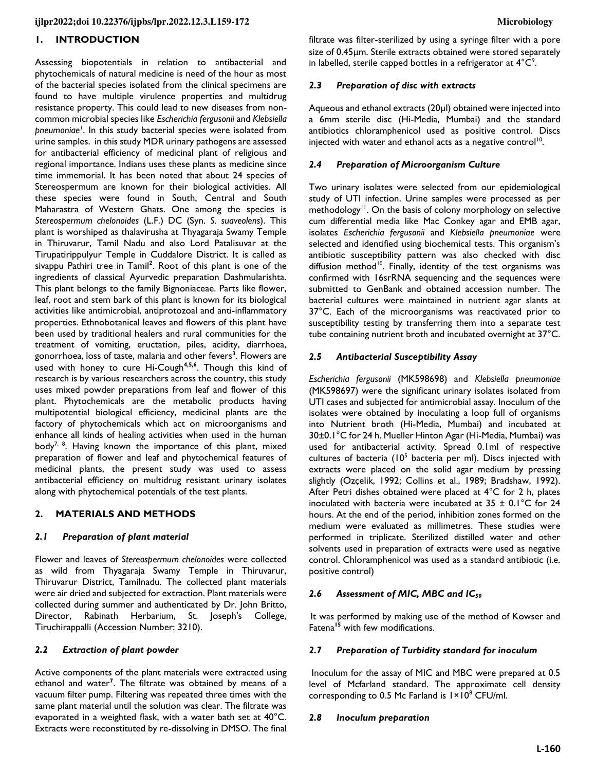# **1. INTRODUCTION**

Assessing biopotentials in relation to antibacterial and phytochemicals of natural medicine is need of the hour as most of the bacterial species isolated from the clinical specimens are found to have multiple virulence properties and multidrug resistance property. This could lead to new diseases from noncommon microbial species like *Escherichia fergusonii* and *Klebsiella pneumoniae<sup>1</sup>* . In this study bacterial species were isolated from urine samples. in this study MDR urinary pathogens are assessed for antibacterial efficiency of medicinal plant of religious and regional importance. Indians uses these plants as medicine since time immemorial. It has been noted that about 24 species of Stereospermum are known for their biological activities. All these species were found in South, Central and South Maharastra of Western Ghats. One among the species is *Stereospermum chelonoides* (L.F.) DC (Syn. *S. suaveolens*). This plant is worshiped as thalavirusha at Thyagaraja Swamy Temple in Thiruvarur, Tamil Nadu and also Lord Patalisuvar at the Tirupatirippulyur Temple in Cuddalore District. It is called as sivappu Pathiri tree in Tamil**<sup>2</sup>** . Root of this plant is one of the ingredients of classical Ayurvedic preparation Dashmularishta. This plant belongs to the family Bignoniaceae. Parts like flower, leaf, root and stem bark of this plant is known for its biological activities like antimicrobial, antiprotozoal and anti-inflammatory properties. Ethnobotanical leaves and flowers of this plant have been used by traditional healers and rural communities for the treatment of vomiting, eructation, piles, acidity, diarrhoea, gonorrhoea, loss of taste, malaria and other fevers**<sup>3</sup>** . Flowers are used with honey to cure Hi-Cough**4,5,6**. Though this kind of research is by various researchers across the country, this study uses mixed powder preparations from leaf and flower of this plant. Phytochemicals are the metabolic products having multipotential biological efficiency, medicinal plants are the factory of phytochemicals which act on microorganisms and enhance all kinds of healing activities when used in the human body<sup>7, 8</sup>. Having known the importance of this plant, mixed preparation of flower and leaf and phytochemical features of medicinal plants, the present study was used to assess antibacterial efficiency on multidrug resistant urinary isolates along with phytochemical potentials of the test plants.

#### **2. MATERIALS AND METHODS**

#### *2.1 Preparation of plant material*

Flower and leaves of *Stereospermum chelonoides* were collected as wild from Thyagaraja Swamy Temple in Thiruvarur, Thiruvarur District, Tamilnadu. The collected plant materials were air dried and subjected for extraction. Plant materials were collected during summer and authenticated by Dr. John Britto, Director, Rabinath Herbarium, St. Joseph's College, Tiruchirappalli (Accession Number: 3210).

#### *2.2 Extraction of plant powder*

Active components of the plant materials were extracted using ethanol and water**<sup>7</sup>** . The filtrate was obtained by means of a vacuum filter pump. Filtering was repeated three times with the same plant material until the solution was clear. The filtrate was evaporated in a weighted flask, with a water bath set at 40°C. Extracts were reconstituted by re-dissolving in DMSO. The final

filtrate was filter-sterilized by using a syringe filter with a pore size of 0.45µm. Sterile extracts obtained were stored separately in labelled, sterile capped bottles in a refrigerator at  $4^{\circ}C^{\circ}$ .

#### *2.3 Preparation of disc with extracts*

Aqueous and ethanol extracts (20µl) obtained were injected into a 6mm sterile disc (Hi-Media, Mumbai) and the standard antibiotics chloramphenicol used as positive control. Discs injected with water and ethanol acts as a negative control<sup>10</sup>.

#### *2.4 Preparation of Microorganism Culture*

Two urinary isolates were selected from our epidemiological study of UTI infection. Urine samples were processed as per methodology<sup>11</sup>. On the basis of colony morphology on selective cum differential media like Mac Conkey agar and EMB agar, isolates *Escherichia fergusonii* and *Klebsiella pneumoniae* were selected and identified using biochemical tests. This organism's antibiotic susceptibility pattern was also checked with disc diffusion method<sup>10</sup>. Finally, identity of the test organisms was confirmed with 16srRNA sequencing and the sequences were submitted to GenBank and obtained accession number. The bacterial cultures were maintained in nutrient agar slants at 37°C. Each of the microorganisms was reactivated prior to susceptibility testing by transferring them into a separate test tube containing nutrient broth and incubated overnight at 37°C.

#### *2.5 Antibacterial Susceptibility Assay*

*Escherichia fergusonii* (MK598698) and *Klebsiella pneumoniae* (MK598697) were the significant urinary isolates isolated from UTI cases and subjected for antimicrobial assay. Inoculum of the isolates were obtained by inoculating a loop full of organisms into Nutrient broth (Hi-Media, Mumbai) and incubated at 30±0.1°C for 24 h. Mueller Hinton Agar (Hi-Media, Mumbai) was used for antibacterial activity. Spread 0.1ml of respective cultures of bacteria (10<sup>5</sup> bacteria per ml). Discs injected with extracts were placed on the solid agar medium by pressing slightly (Özçelik, 1992; Collins et al., 1989; Bradshaw, 1992). After Petri dishes obtained were placed at 4°C for 2 h, plates inoculated with bacteria were incubated at  $35 \pm 0.1^{\circ}$ C for 24 hours. At the end of the period, inhibition zones formed on the medium were evaluated as millimetres. These studies were performed in triplicate. Sterilized distilled water and other solvents used in preparation of extracts were used as negative control. Chloramphenicol was used as a standard antibiotic (i.e. positive control)

### *2.6 Assessment of MIC, MBC and IC<sup>50</sup>*

It was performed by making use of the method of Kowser and Fatena**<sup>15</sup>** with few modifications.

#### *2.7 Preparation of Turbidity standard for inoculum*

 Inoculum for the assay of MIC and MBC were prepared at 0.5 level of Mcfarland standard. The approximate cell density corresponding to 0.5 Mc Farland is  $1 \times 10^8$  CFU/ml.

#### *2.8 Inoculum preparation*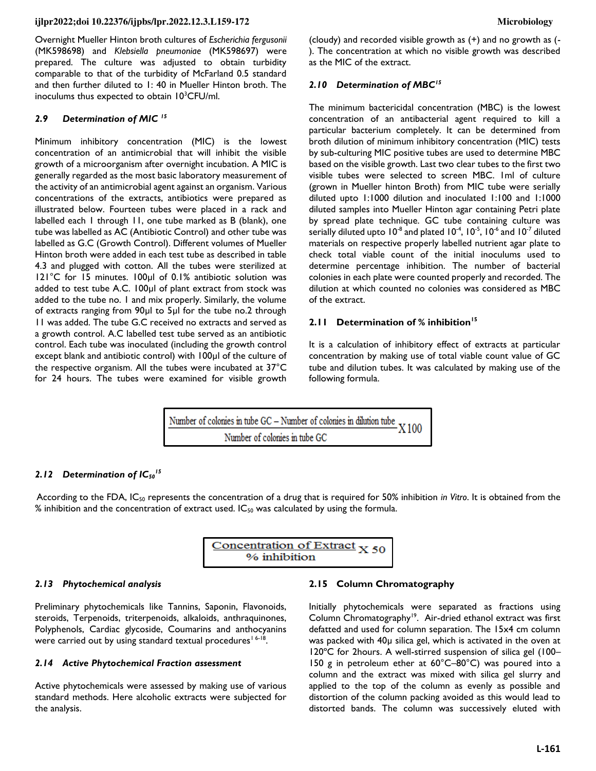Overnight Mueller Hinton broth cultures of *Escherichia fergusonii* (MK598698) and *Klebsiella pneumoniae* (MK598697) were prepared. The culture was adjusted to obtain turbidity comparable to that of the turbidity of McFarland 0.5 standard and then further diluted to 1: 40 in Mueller Hinton broth. The inoculums thus expected to obtain  $10^3$ CFU/ml.

# *2.9 Determination of MIC <sup>15</sup>*

Minimum inhibitory concentration (MIC) is the lowest concentration of an antimicrobial that will inhibit the visible growth of a microorganism after overnight incubation. A MIC is generally regarded as the most basic laboratory measurement of the activity of an antimicrobial agent against an organism. Various concentrations of the extracts, antibiotics were prepared as illustrated below. Fourteen tubes were placed in a rack and labelled each 1 through 11, one tube marked as B (blank), one tube was labelled as AC (Antibiotic Control) and other tube was labelled as G.C (Growth Control). Different volumes of Mueller Hinton broth were added in each test tube as described in table 4.3 and plugged with cotton. All the tubes were sterilized at 121°C for 15 minutes. 100µl of 0.1% antibiotic solution was added to test tube A.C. 100µl of plant extract from stock was added to the tube no. 1 and mix properly. Similarly, the volume of extracts ranging from 90µl to 5µl for the tube no.2 through 11 was added. The tube G.C received no extracts and served as a growth control. A.C labelled test tube served as an antibiotic control. Each tube was inoculated (including the growth control except blank and antibiotic control) with 100µl of the culture of the respective organism. All the tubes were incubated at 37°C for 24 hours. The tubes were examined for visible growth

(cloudy) and recorded visible growth as (+) and no growth as (- ). The concentration at which no visible growth was described as the MIC of the extract.

## *2.10 Determination of MBC<sup>15</sup>*

The minimum bactericidal concentration (MBC) is the lowest concentration of an antibacterial agent required to kill a particular bacterium completely. It can be determined from broth dilution of minimum inhibitory concentration (MIC) tests by sub-culturing MIC positive tubes are used to determine MBC based on the visible growth. Last two clear tubes to the first two visible tubes were selected to screen MBC. 1ml of culture (grown in Mueller hinton Broth) from MIC tube were serially diluted upto 1:1000 dilution and inoculated 1:100 and 1:1000 diluted samples into Mueller Hinton agar containing Petri plate by spread plate technique. GC tube containing culture was serially diluted upto  $10^{-8}$  and plated  $10^{-4}$ ,  $10^{-5}$ ,  $10^{-6}$  and  $10^{-7}$  diluted materials on respective properly labelled nutrient agar plate to check total viable count of the initial inoculums used to determine percentage inhibition. The number of bacterial colonies in each plate were counted properly and recorded. The dilution at which counted no colonies was considered as MBC of the extract.

# **2.11 Determination of % inhibition<sup>15</sup>**

It is a calculation of inhibitory effect of extracts at particular concentration by making use of total viable count value of GC tube and dilution tubes. It was calculated by making use of the following formula.

Number of colonies in tube GC - Number of colonies in dilution tube X<sub>100</sub> Number of colonies in tube GC

## *2.12 Determination of IC<sup>50</sup> 15*

According to the FDA, IC<sub>50</sub> represents the concentration of a drug that is required for 50% inhibition *in Vitro*. It is obtained from the % inhibition and the concentration of extract used. IC<sub>50</sub> was calculated by using the formula.



## *2.13 Phytochemical analysis*

Preliminary phytochemicals like Tannins, Saponin, Flavonoids, steroids, Terpenoids, triterpenoids, alkaloids, anthraquinones, Polyphenols, Cardiac glycoside, Coumarins and anthocyanins were carried out by using standard textual procedures<sup>16-18</sup>.

#### *2.14 Active Phytochemical Fraction assessment*

Active phytochemicals were assessed by making use of various standard methods. Here alcoholic extracts were subjected for the analysis.

#### **2.15 Column Chromatography**

Initially phytochemicals were separated as fractions using Column Chromatography<sup>19</sup>. Air-dried ethanol extract was first defatted and used for column separation. The 15x4 cm column was packed with 40µ silica gel, which is activated in the oven at 120ºC for 2hours. A well-stirred suspension of silica gel (100– 150 g in petroleum ether at 60°C–80°C) was poured into a column and the extract was mixed with silica gel slurry and applied to the top of the column as evenly as possible and distortion of the column packing avoided as this would lead to distorted bands. The column was successively eluted with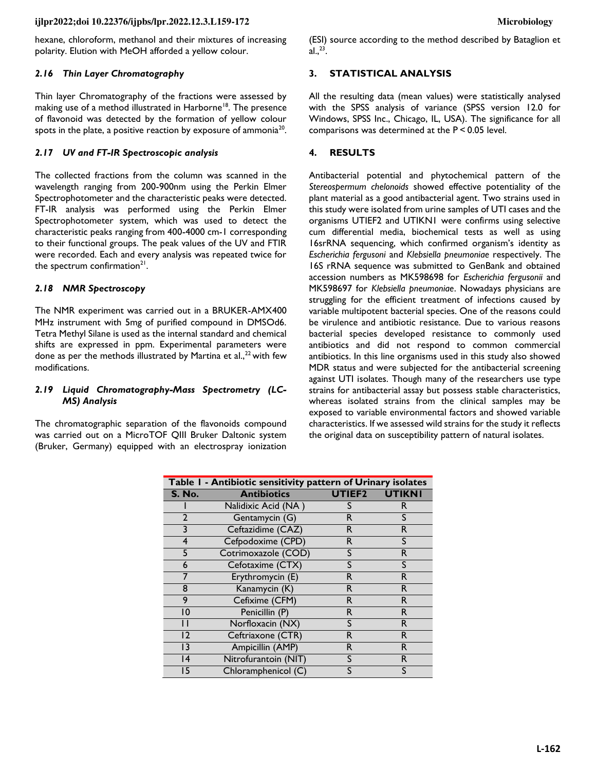hexane, chloroform, methanol and their mixtures of increasing polarity. Elution with MeOH afforded a yellow colour.

#### *2.16 Thin Layer Chromatography*

Thin layer Chromatography of the fractions were assessed by making use of a method illustrated in Harborne<sup>18</sup>. The presence of flavonoid was detected by the formation of yellow colour spots in the plate, a positive reaction by exposure of ammonia $^{20}$ .

#### *2.17 UV and FT-IR Spectroscopic analysis*

The collected fractions from the column was scanned in the wavelength ranging from 200-900nm using the Perkin Elmer Spectrophotometer and the characteristic peaks were detected. FT-IR analysis was performed using the Perkin Elmer Spectrophotometer system, which was used to detect the characteristic peaks ranging from 400-4000 cm-1 corresponding to their functional groups. The peak values of the UV and FTIR were recorded. Each and every analysis was repeated twice for the spectrum confirmation<sup>21</sup>.

#### *2.18 NMR Spectroscopy*

The NMR experiment was carried out in a BRUKER-AMX400 MHz instrument with 5mg of purified compound in DMSOd6. Tetra Methyl Silane is used as the internal standard and chemical shifts are expressed in ppm. Experimental parameters were done as per the methods illustrated by Martina et al., $^{22}$  with few modifications.

#### *2.19 Liquid Chromatography-Mass Spectrometry (LC-MS) Analysis*

The chromatographic separation of the flavonoids compound was carried out on a MicroTOF QIII Bruker Daltonic system (Bruker, Germany) equipped with an electrospray ionization

(ESI) source according to the method described by Bataglion et al. $^{23}$ .

#### **3. STATISTICAL ANALYSIS**

All the resulting data (mean values) were statistically analysed with the SPSS analysis of variance (SPSS version 12.0 for Windows, SPSS Inc., Chicago, IL, USA). The significance for all comparisons was determined at the P < 0.05 level.

#### **4. RESULTS**

Antibacterial potential and phytochemical pattern of the *Stereospermum chelonoids* showed effective potentiality of the plant material as a good antibacterial agent. Two strains used in this study were isolated from urine samples of UTI cases and the organisms UTIEF2 and UTIKN1 were confirms using selective cum differential media, biochemical tests as well as using 16srRNA sequencing, which confirmed organism's identity as *Escherichia fergusoni* and *Klebsiella pneumoniae* respectively. The 16S rRNA sequence was submitted to GenBank and obtained accession numbers as MK598698 for *Escherichia fergusonii* and MK598697 for *Klebsiella pneumoniae*. Nowadays physicians are struggling for the efficient treatment of infections caused by variable multipotent bacterial species. One of the reasons could be virulence and antibiotic resistance. Due to various reasons bacterial species developed resistance to commonly used antibiotics and did not respond to common commercial antibiotics. In this line organisms used in this study also showed MDR status and were subjected for the antibacterial screening against UTI isolates. Though many of the researchers use type strains for antibacterial assay but possess stable characteristics, whereas isolated strains from the clinical samples may be exposed to variable environmental factors and showed variable characteristics. If we assessed wild strains for the study it reflects the original data on susceptibility pattern of natural isolates.

| Table I - Antibiotic sensitivity pattern of Urinary isolates |                      |                    |               |  |
|--------------------------------------------------------------|----------------------|--------------------|---------------|--|
| <b>S. No.</b>                                                | <b>Antibiotics</b>   | UTIEF <sub>2</sub> | <b>UTIKNI</b> |  |
|                                                              | Nalidixic Acid (NA)  |                    | R             |  |
| $\overline{2}$                                               | Gentamycin (G)       | R                  | S             |  |
| 3                                                            | Ceftazidime (CAZ)    | R                  | R             |  |
| 4                                                            | Cefpodoxime (CPD)    | R.                 | S             |  |
| 5                                                            | Cotrimoxazole (COD)  | S                  | R             |  |
| 6                                                            | Cefotaxime (CTX)     | S                  | S             |  |
| 7                                                            | Erythromycin (E)     | R                  | R             |  |
| 8                                                            | Kanamycin (K)        | R                  | R             |  |
| 9                                                            | Cefixime (CFM)       | R.                 | R.            |  |
| 10                                                           | Penicillin (P)       | R                  | R             |  |
| Ħ                                                            | Norfloxacin (NX)     | S                  | R             |  |
| 12                                                           | Ceftriaxone (CTR)    | R                  | R             |  |
| 13                                                           | Ampicillin (AMP)     | R.                 | R.            |  |
| 14                                                           | Nitrofurantoin (NIT) | S                  | R.            |  |
| 15                                                           | Chloramphenicol (C)  | S                  | S             |  |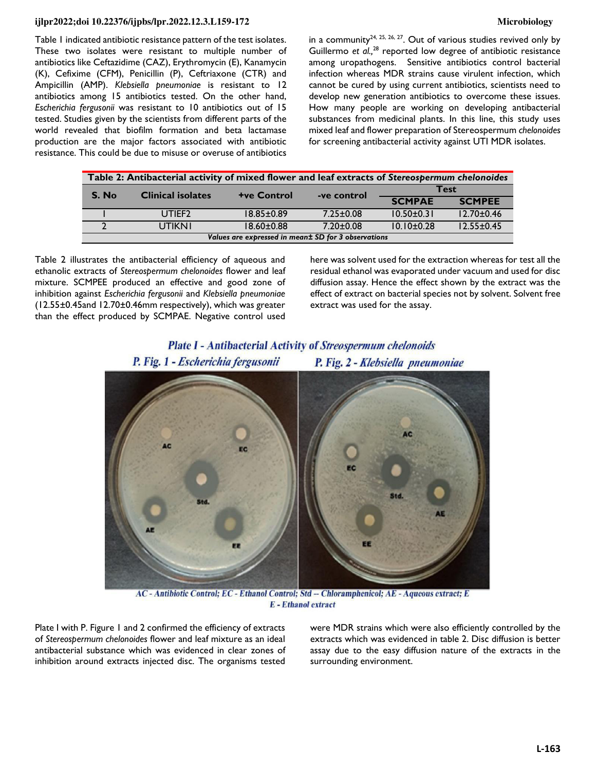Table 1 indicated antibiotic resistance pattern of the test isolates. These two isolates were resistant to multiple number of antibiotics like Ceftazidime (CAZ), Erythromycin (E), Kanamycin (K), Cefixime (CFM), Penicillin (P), Ceftriaxone (CTR) and Ampicillin (AMP). *Klebsiella pneumoniae* is resistant to 12 antibiotics among 15 antibiotics tested. On the other hand, *Escherichia fergusonii* was resistant to 10 antibiotics out of 15 tested. Studies given by the scientists from different parts of the world revealed that biofilm formation and beta lactamase production are the major factors associated with antibiotic resistance. This could be due to misuse or overuse of antibiotics

in a community<sup>24, 25, 26, 27</sup>. Out of various studies revived only by Guillermo et al.,<sup>28</sup> reported low degree of antibiotic resistance among uropathogens. Sensitive antibiotics control bacterial infection whereas MDR strains cause virulent infection, which cannot be cured by using current antibiotics, scientists need to develop new generation antibiotics to overcome these issues. How many people are working on developing antibacterial substances from medicinal plants. In this line, this study uses mixed leaf and flower preparation of Stereospermum *chelonoides*  for screening antibacterial activity against UTI MDR isolates.

| Table 2: Antibacterial activity of mixed flower and leaf extracts of Stereospermum chelonoides |                          |                    |                 |                  |                  |  |
|------------------------------------------------------------------------------------------------|--------------------------|--------------------|-----------------|------------------|------------------|--|
| S. No                                                                                          | <b>Clinical isolates</b> | <b>+ve Control</b> | -ve control     |                  | Test             |  |
|                                                                                                |                          |                    |                 | <b>SCMPAE</b>    | <b>SCMPEE</b>    |  |
|                                                                                                | UTIEF <sub>2</sub>       | $18.85 \pm 0.89$   | $7.25 \pm 0.08$ | $10.50 \pm 0.31$ | $12.70 \pm 0.46$ |  |
|                                                                                                | UTIKNI                   | $18.60 \pm 0.88$   | $7.20 + 0.08$   | $10.10 \pm 0.28$ | $12.55 \pm 0.45$ |  |
| Values are expressed in meant SD for 3 observations                                            |                          |                    |                 |                  |                  |  |

Table 2 illustrates the antibacterial efficiency of aqueous and ethanolic extracts of *Stereospermum chelonoides* flower and leaf mixture. SCMPEE produced an effective and good zone of inhibition against *Escherichia fergusonii* and *Klebsiella pneumoniae* (12.55±0.45and 12.70±0.46mm respectively), which was greater than the effect produced by SCMPAE. Negative control used here was solvent used for the extraction whereas for test all the residual ethanol was evaporated under vacuum and used for disc diffusion assay. Hence the effect shown by the extract was the effect of extract on bacterial species not by solvent. Solvent free extract was used for the assay.



**Plate I - Antibacterial Activity of Streospermum chelonoids** 

AC - Antibiotic Control; EC - Ethanol Control; Std -- Chloramphenicol; AE - Aqueous extract; E **E** - Ethanol extract

Plate I with P. Figure 1 and 2 confirmed the efficiency of extracts of *Stereospermum chelonoides* flower and leaf mixture as an ideal antibacterial substance which was evidenced in clear zones of inhibition around extracts injected disc. The organisms tested were MDR strains which were also efficiently controlled by the extracts which was evidenced in table 2. Disc diffusion is better assay due to the easy diffusion nature of the extracts in the surrounding environment.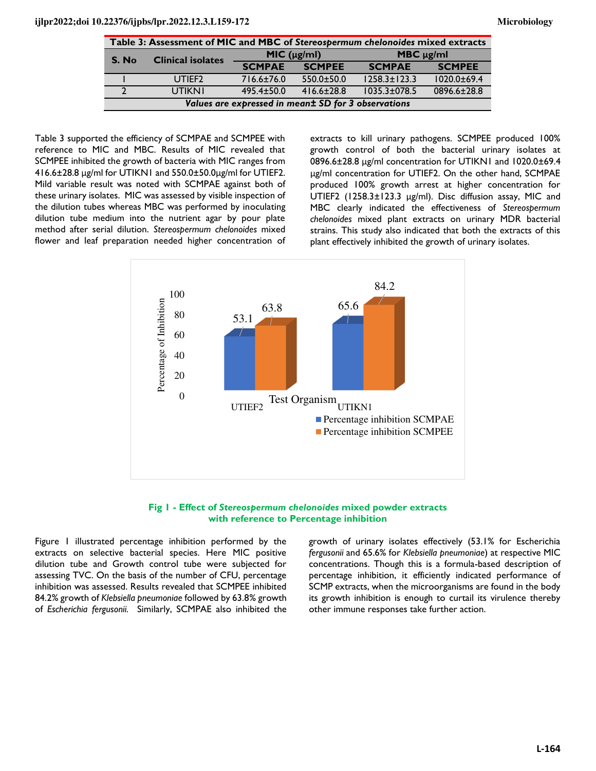| Table 3: Assessment of MIC and MBC of Stereospermum chelonoides mixed extracts |                          |                |                  |                    |               |
|--------------------------------------------------------------------------------|--------------------------|----------------|------------------|--------------------|---------------|
| S. No                                                                          | <b>Clinical isolates</b> | MIC (µg/ml)    |                  | MBC $\mu$ g/ml     |               |
|                                                                                |                          | <b>SCMPAE</b>  | <b>SCMPEE</b>    | <b>SCMPAE</b>      | <b>SCMPEE</b> |
|                                                                                | UTIEF <sub>2</sub>       | 716.6±76.0     | $550.0 \pm 50.0$ | $1258.3 \pm 123.3$ | 1020.0±69.4   |
|                                                                                | <b>UTIKNI</b>            | $495.4 + 50.0$ | $416.6 + 28.8$   | $1035.3 \pm 078.5$ | 0896.6±28.8   |
| Values are expressed in meant SD for 3 observations                            |                          |                |                  |                    |               |

Table 3 supported the efficiency of SCMPAE and SCMPEE with reference to MIC and MBC. Results of MIC revealed that SCMPEE inhibited the growth of bacteria with MIC ranges from 416.6±28.8 ʅg/ml for UTIKN1 and 550.0±50.0ʅg/ml for UTIEF2. Mild variable result was noted with SCMPAE against both of these urinary isolates. MIC was assessed by visible inspection of the dilution tubes whereas MBC was performed by inoculating dilution tube medium into the nutrient agar by pour plate method after serial dilution. *Stereospermum chelonoides* mixed flower and leaf preparation needed higher concentration of extracts to kill urinary pathogens. SCMPEE produced 100% growth control of both the bacterial urinary isolates at 0896.6±28.8 ʅg/ml concentration for UTIKN1 and 1020.0±69.4 µg/ml concentration for UTIEF2. On the other hand, SCMPAE produced 100% growth arrest at higher concentration for UTIEF2 (1258.3±123.3 µg/ml). Disc diffusion assay, MIC and MBC clearly indicated the effectiveness of *Stereospermum chelonoides* mixed plant extracts on urinary MDR bacterial strains. This study also indicated that both the extracts of this plant effectively inhibited the growth of urinary isolates.





Figure 1 illustrated percentage inhibition performed by the extracts on selective bacterial species. Here MIC positive dilution tube and Growth control tube were subjected for assessing TVC. On the basis of the number of CFU, percentage inhibition was assessed. Results revealed that SCMPEE inhibited 84.2% growth of *Klebsiella pneumoniae* followed by 63.8*%* growth of *Escherichia fergusonii.* Similarly, SCMPAE also inhibited the growth of urinary isolates effectively (53.1% for Escherichia *fergusonii* and 65.6% for *Klebsiella pneumoniae*) at respective MIC concentrations. Though this is a formula-based description of percentage inhibition, it efficiently indicated performance of SCMP extracts, when the microorganisms are found in the body its growth inhibition is enough to curtail its virulence thereby other immune responses take further action.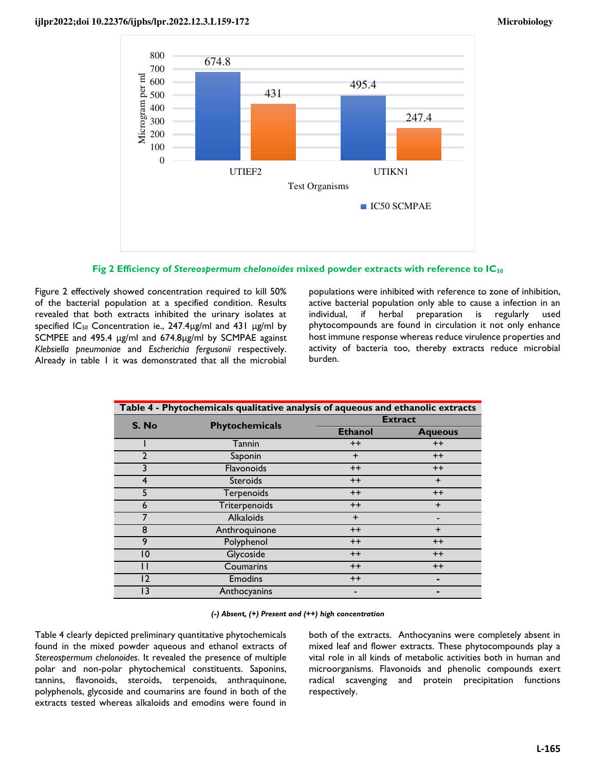



Figure 2 effectively showed concentration required to kill 50% of the bacterial population at a specified condition. Results revealed that both extracts inhibited the urinary isolates at specified  $IC_{50}$  Concentration ie., 247.4 $\mu$ g/ml and 431  $\mu$ g/ml by SCMPEE and 495.4 µg/ml and 674.8µg/ml by SCMPAE against *Klebsiella pneumoniae* and *Escherichia fergusonii* respectively. Already in table 1 it was demonstrated that all the microbial populations were inhibited with reference to zone of inhibition, active bacterial population only able to cause a infection in an individual, if herbal preparation is regularly used phytocompounds are found in circulation it not only enhance host immune response whereas reduce virulence properties and activity of bacteria too, thereby extracts reduce microbial burden.

| Table 4 - Phytochemicals qualitative analysis of aqueous and ethanolic extracts |                  |                |                |  |
|---------------------------------------------------------------------------------|------------------|----------------|----------------|--|
| S. No                                                                           | Phytochemicals   | <b>Extract</b> |                |  |
|                                                                                 |                  | <b>Ethanol</b> | <b>Aqueous</b> |  |
|                                                                                 | Tannin           | $++$           | $++$           |  |
| 2                                                                               | Saponin          | $\ddot{}$      | $++$           |  |
| 3                                                                               | Flavonoids       | $++$           | $++$           |  |
| 4                                                                               | <b>Steroids</b>  | $++$           | $+$            |  |
| 5                                                                               | Terpenoids       | $++$           | $++$           |  |
| 6                                                                               | Triterpenoids    | $++$           | $\ddot{}$      |  |
|                                                                                 | <b>Alkaloids</b> | $\ddot{}$      |                |  |
| 8                                                                               | Anthroquinone    | $++$           | $\ddot{}$      |  |
| 9                                                                               | Polyphenol       | $++$           | $++$           |  |
| 10                                                                              | Glycoside        | $++$           | $++$           |  |
| П                                                                               | Coumarins        | $++$           | $++$           |  |
| 12                                                                              | <b>Emodins</b>   | $++$           |                |  |
| 13                                                                              | Anthocyanins     |                |                |  |

*(-) Absent, (+) Present and (++) high concentration*

Table 4 clearly depicted preliminary quantitative phytochemicals found in the mixed powder aqueous and ethanol extracts of *Stereospermum chelonoides*. It revealed the presence of multiple polar and non-polar phytochemical constituents. Saponins, tannins, flavonoids, steroids, terpenoids, anthraquinone, polyphenols, glycoside and coumarins are found in both of the extracts tested whereas alkaloids and emodins were found in

both of the extracts. Anthocyanins were completely absent in mixed leaf and flower extracts. These phytocompounds play a vital role in all kinds of metabolic activities both in human and microorganisms. Flavonoids and phenolic compounds exert radical scavenging and protein precipitation functions respectively.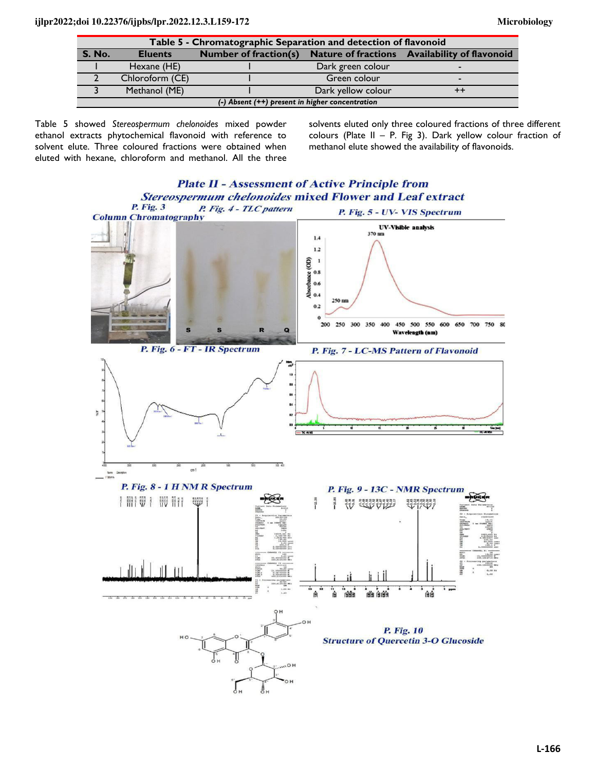| Table 5 - Chromatographic Separation and detection of flavonoid |                 |  |                    |                                                                     |
|-----------------------------------------------------------------|-----------------|--|--------------------|---------------------------------------------------------------------|
| <b>S. No.</b>                                                   | <b>Eluents</b>  |  |                    | Number of fraction(s) Nature of fractions Availability of flavonoid |
|                                                                 | Hexane (HE)     |  | Dark green colour  |                                                                     |
|                                                                 | Chloroform (CE) |  | Green colour       |                                                                     |
|                                                                 | Methanol (ME)   |  | Dark yellow colour |                                                                     |
| $(-)$ Absent $(++)$ present in higher concentration             |                 |  |                    |                                                                     |

Table 5 showed *Stereospermum chelonoides* mixed powder ethanol extracts phytochemical flavonoid with reference to solvent elute. Three coloured fractions were obtained when eluted with hexane, chloroform and methanol. All the three solvents eluted only three coloured fractions of three different colours (Plate II – P. Fig 3). Dark yellow colour fraction of methanol elute showed the availability of flavonoids.

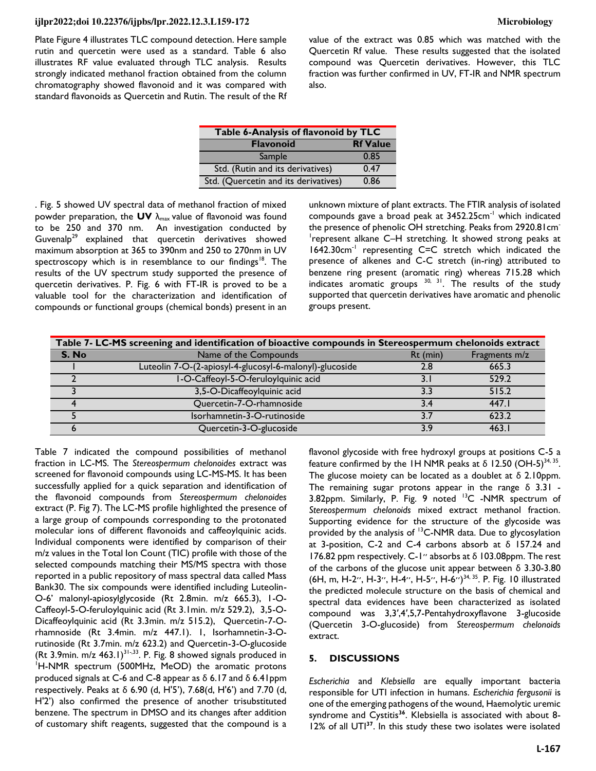Plate Figure 4 illustrates TLC compound detection. Here sample rutin and quercetin were used as a standard. Table 6 also illustrates RF value evaluated through TLC analysis. Results strongly indicated methanol fraction obtained from the column chromatography showed flavonoid and it was compared with standard flavonoids as Quercetin and Rutin. The result of the Rf value of the extract was 0.85 which was matched with the Quercetin Rf value. These results suggested that the isolated compound was Quercetin derivatives. However, this TLC fraction was further confirmed in UV, FT-IR and NMR spectrum also.

| Table 6-Analysis of flavonoid by TLC |      |  |  |
|--------------------------------------|------|--|--|
| <b>Rf Value</b><br><b>Flavonoid</b>  |      |  |  |
| Sample                               | 0.85 |  |  |
| Std. (Rutin and its derivatives)     | 0.47 |  |  |
| Std. (Quercetin and its derivatives) | 0.86 |  |  |

. Fig. 5 showed UV spectral data of methanol fraction of mixed powder preparation, the UV  $\lambda_{\text{max}}$  value of flavonoid was found to be 250 and 370 nm. An investigation conducted by Guvenalp<sup>29</sup> explained that quercetin derivatives showed maximum absorption at 365 to 390nm and 250 to 270nm in UV spectroscopy which is in resemblance to our findings<sup>18</sup>. The results of the UV spectrum study supported the presence of quercetin derivatives. P. Fig. 6 with FT-IR is proved to be a valuable tool for the characterization and identification of compounds or functional groups (chemical bonds) present in an

unknown mixture of plant extracts. The FTIR analysis of isolated compounds gave a broad peak at 3452.25cm-1 which indicated the presence of phenolic OH stretching. Peaks from 2920.81cm<sup>-</sup> 1 represent alkane C–H stretching. It showed strong peaks at 1642.30cm<sup>-1</sup> representing C=C stretch which indicated the presence of alkenes and C-C stretch (in-ring) attributed to benzene ring present (aromatic ring) whereas 715.28 which indicates aromatic groups <sup>30, 31</sup>. The results of the study supported that quercetin derivatives have aromatic and phenolic groups present.

| Table 7- LC-MS screening and identification of bioactive compounds in Stereospermum chelonoids extract |                                                         |            |               |  |
|--------------------------------------------------------------------------------------------------------|---------------------------------------------------------|------------|---------------|--|
| S. No                                                                                                  | Name of the Compounds                                   | $Rt$ (min) | Fragments m/z |  |
|                                                                                                        | Luteolin 7-O-(2-apiosyl-4-glucosyl-6-malonyl)-glucoside | 2.8        | 665.3         |  |
|                                                                                                        | I-O-Caffeoyl-5-O-feruloylquinic acid                    |            | 529.2         |  |
|                                                                                                        | 3,5-O-Dicaffeoylquinic acid                             | 33         | 515.2         |  |
|                                                                                                        | Quercetin-7-O-rhamnoside                                | 34         | 447 I         |  |
|                                                                                                        | Isorhamnetin-3-O-rutinoside                             | 37         | 6232          |  |
|                                                                                                        | Quercetin-3-O-glucoside                                 | 3.9        | 463           |  |

Table 7 indicated the compound possibilities of methanol fraction in LC-MS. The *Stereospermum chelonoides* extract was screened for flavonoid compounds using LC-MS-MS. It has been successfully applied for a quick separation and identification of the flavonoid compounds from *Stereospermum chelonoides* extract (P. Fig 7). The LC-MS profile highlighted the presence of a large group of compounds corresponding to the protonated molecular ions of different flavonoids and caffeoylquinic acids. Individual components were identified by comparison of their m/z values in the Total Ion Count (TIC) profile with those of the selected compounds matching their MS/MS spectra with those reported in a public repository of mass spectral data called Mass Bank30. The six compounds were identified including Luteolin-O-6' malonyl-apiosylglycoside (Rt 2.8min. m/z 665.3), 1-O-Caffeoyl-5-O-feruloylquinic acid (Rt 3.1min. m/z 529.2), 3,5-O-Dicaffeoylquinic acid (Rt 3.3min. m/z 515.2), Quercetin-7-Orhamnoside (Rt 3.4min. m/z 447.1). 1, Isorhamnetin-3-Orutinoside (Rt 3.7min. m/z 623.2) and Quercetin-3-O-glucoside (Rt 3.9min.  $m/z$  463.1)<sup>31-,33</sup>. P. Fig. 8 showed signals produced in <sup>1</sup>H-NMR spectrum (500MHz, MeOD) the aromatic protons produced signals at C-6 and C-8 appear as δ 6.17 and δ 6.41ppm respectively. Peaks at δ 6.90 (d, H'5'), 7.68(d, H'6') and 7.70 (d, H'2') also confirmed the presence of another trisubstituted benzene. The spectrum in DMSO and its changes after addition of customary shift reagents, suggested that the compound is a

flavonol glycoside with free hydroxyl groups at positions C-5 a feature confirmed by the 1H NMR peaks at  $\delta$  12.50 (OH-5)<sup>34, 35</sup>. The glucose moiety can be located as a doublet at δ 2.10ppm. The remaining sugar protons appear in the range  $\delta$  3.31 -3.82ppm. Similarly, P. Fig. 9 noted <sup>13</sup>C -NMR spectrum of *Stereospermum chelonoids* mixed extract methanol fraction. Supporting evidence for the structure of the glycoside was provided by the analysis of  $13C-NMR$  data. Due to glycosylation at 3-position, C-2 and C-4 carbons absorb at δ 157.24 and 176.82 ppm respectively. C-1<sup>"</sup> absorbs at  $\delta$  103.08ppm. The rest of the carbons of the glucose unit appear between δ 3.30-3.80 (6H, m, H-2", H-3", H-4", H-5", H-6")<sup>34, 35</sup>. P. Fig. 10 illustrated the predicted molecule structure on the basis of chemical and spectral data evidences have been characterized as isolated compound was 3,3′,4′,5,7-Pentahydroxyflavone 3-glucoside (Quercetin 3-O-glucoside) from *Stereospermum chelonoids* extract.

# **5. DISCUSSIONS**

*Escherichia* and *Klebsiella* are equally important bacteria responsible for UTI infection in humans. *Escherichia fergusonii* is one of the emerging pathogens of the wound, Haemolytic uremic syndrome and Cystitis**<sup>36</sup>**. Klebsiella is associated with about 8- 12% of all UTI**37**. In this study these two isolates were isolated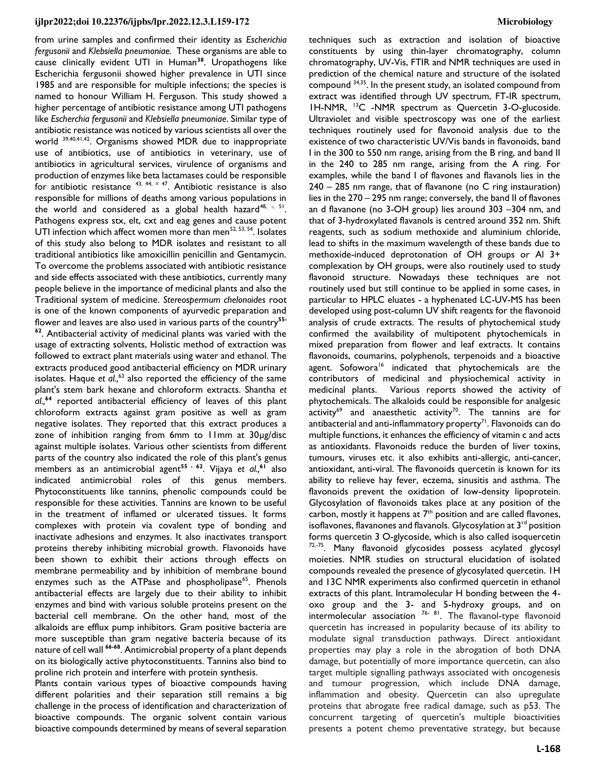from urine samples and confirmed their identity as *Escherichia fergusonii* and *Klebsiella pneumoniae.* These organisms are able to cause clinically evident UTI in Human**<sup>38</sup>**. Uropathogens like Escherichia fergusonii showed higher prevalence in UTI since 1985 and are responsible for multiple infections; the species is named to honour William H. Ferguson. This study showed a higher percentage of antibiotic resistance among UTI pathogens like *Escherchia fergusonii* and *Klebsiella pneumoniae*. Similar type of antibiotic resistance was noticed by various scientists all over the world 39,40,41,42. Organisms showed MDR due to inappropriate use of antibiotics, use of antibiotics in veterinary, use of antibiotics in agricultural services, virulence of organisms and production of enzymes like beta lactamases could be responsible for antibiotic resistance  $43, 44, = 47$ . Antibiotic resistance is also responsible for millions of deaths among various populations in the world and considered as a global health hazard $^{48, -5.51}$ . Pathogens express stx, elt, cxt and eag genes and cause potent UTI infection which affect women more than men $52, 53, 54$ . Isolates of this study also belong to MDR isolates and resistant to all traditional antibiotics like amoxicillin penicillin and Gentamycin. To overcome the problems associated with antibiotic resistance and side effects associated with these antibiotics, currently many people believe in the importance of medicinal plants and also the Traditional system of medicine. *Stereospermum chelonoides* root is one of the known components of ayurvedic preparation and flower and leaves are also used in various parts of the country**55-**

**<sup>62</sup>**. Antibacterial activity of medicinal plants was varied with the usage of extracting solvents, Holistic method of extraction was followed to extract plant materials using water and ethanol. The extracts produced good antibacterial efficiency on MDR urinary isolates. Haque et al.,<sup>63</sup> also reported the efficiency of the same plant's stem bark hexane and chloroform extracts. Shantha *et al.,***<sup>64</sup>** reported antibacterial efficiency of leaves of this plant chloroform extracts against gram positive as well as gram negative isolates. They reported that this extract produces a zone of inhibition ranging from 6mm to 11mm at 30µg/disc against multiple isolates. Various other scientists from different parts of the country also indicated the role of this plant's genus members as an antimicrobial agent**55 - 62**. Vijaya *et al.,***<sup>61</sup>** also indicated antimicrobial roles of this genus members. Phytoconstituents like tannins, phenolic compounds could be responsible for these activities. Tannins are known to be useful in the treatment of inflamed or ulcerated tissues. It forms complexes with protein via covalent type of bonding and inactivate adhesions and enzymes. It also inactivates transport proteins thereby inhibiting microbial growth. Flavonoids have been shown to exhibit their actions through effects on membrane permeability and by inhibition of membrane bound enzymes such as the ATPase and phospholipase<sup>65</sup>. Phenols antibacterial effects are largely due to their ability to inhibit enzymes and bind with various soluble proteins present on the bacterial cell membrane. On the other hand, most of the alkaloids are efflux pump inhibitors. Gram positive bacteria are more susceptible than gram negative bacteria because of its nature of cell wall **66-68**. Antimicrobial property of a plant depends on its biologically active phytoconstituents. Tannins also bind to proline rich protein and interfere with protein synthesis.

Plants contain various types of bioactive compounds having different polarities and their separation still remains a big challenge in the process of identification and characterization of bioactive compounds. The organic solvent contain various bioactive compounds determined by means of several separation techniques such as extraction and isolation of bioactive constituents by using thin-layer chromatography, column chromatography, UV-Vis, FTIR and NMR techniques are used in prediction of the chemical nature and structure of the isolated compound 34,35. In the present study, an isolated compound from extract was identified through UV spectrum, FT-IR spectrum, 1H-NMR, <sup>13</sup>C -NMR spectrum as Quercetin 3-O-glucoside. Ultraviolet and visible spectroscopy was one of the earliest techniques routinely used for flavonoid analysis due to the existence of two characteristic UV/Vis bands in flavonoids, band I in the 300 to 550 nm range, arising from the B ring, and band II in the 240 to 285 nm range, arising from the A ring. For examples, while the band I of flavones and flavanols lies in the 240 – 285 nm range, that of flavanone (no C ring instauration) lies in the 270 – 295 nm range; conversely, the band II of flavones an d flavanone (no 3-OH group) lies around 303 –304 nm, and that of 3-hydroxylated flavanols is centred around 352 nm. Shift reagents, such as sodium methoxide and aluminium chloride, lead to shifts in the maximum wavelength of these bands due to methoxide-induced deprotonation of OH groups or Al 3+ complexation by OH groups, were also routinely used to study flavonoid structure. Nowadays these techniques are not routinely used but still continue to be applied in some cases, in particular to HPLC eluates - a hyphenated LC-UV-MS has been developed using post-column UV shift reagents for the flavonoid analysis of crude extracts. The results of phytochemical study confirmed the availability of multipotent phytochemicals in mixed preparation from flower and leaf extracts. It contains flavonoids, coumarins, polyphenols, terpenoids and a bioactive agent. Sofowora<sup>16</sup> indicated that phytochemicals are the contributors of medicinal and physiochemical activity in medicinal plants. Various reports showed the activity of phytochemicals. The alkaloids could be responsible for analgesic  $\arctivity^{69}$  and anaesthetic activity<sup>70</sup>. The tannins are for antibacterial and anti-inflammatory property $71$ . Flavonoids can do multiple functions, it enhances the efficiency of vitamin c and acts as antioxidants. Flavonoids reduce the burden of liver toxins, tumours, viruses etc. it also exhibits anti-allergic, anti-cancer, antioxidant, anti-viral. The flavonoids quercetin is known for its ability to relieve hay fever, eczema, sinusitis and asthma. The flavonoids prevent the oxidation of low-density lipoprotein. Glycosylation of flavonoids takes place at any position of the carbon, mostly it happens at  $7<sup>th</sup>$  position and are called flavones, isoflavones, flavanones and flavanols. Glycosylation at 3<sup>rd</sup> position forms quercetin 3 O-glycoside, which is also called isoquercetin <sup>72,-75</sup>. Many flavonoid glycosides possess acylated glycosyl moieties. NMR studies on structural elucidation of isolated compounds revealed the presence of glycosylated quercetin. 1H and 13C NMR experiments also confirmed quercetin in ethanol extracts of this plant. Intramolecular H bonding between the 4 oxo group and the 3- and 5-hydroxy groups, and on intermolecular association <sup>76- 81</sup>. The flavanol-type flavonoid quercetin has increased in popularity because of its ability to modulate signal transduction pathways. Direct antioxidant properties may play a role in the abrogation of both DNA damage, but potentially of more importance quercetin, can also target multiple signalling pathways associated with oncogenesis and tumour progression, which include DNA damage, inflammation and obesity. Quercetin can also upregulate proteins that abrogate free radical damage, such as p53. The concurrent targeting of quercetin's multiple bioactivities presents a potent chemo preventative strategy, but because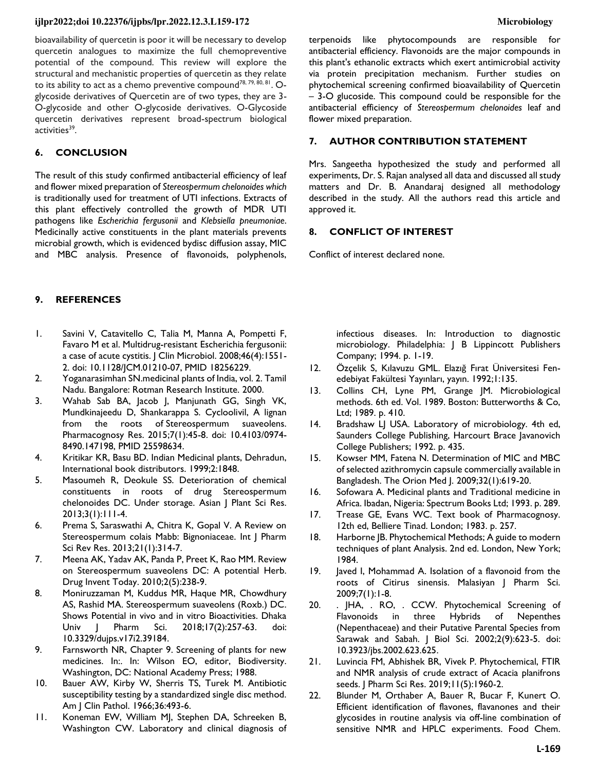bioavailability of quercetin is poor it will be necessary to develop quercetin analogues to maximize the full chemopreventive potential of the compound. This review will explore the structural and mechanistic properties of quercetin as they relate to its ability to act as a chemo preventive compound<sup>78, 79, 80, 81</sup>. Oglycoside derivatives of Quercetin are of two types, they are 3- O-glycoside and other O-glycoside derivatives. O-Glycoside quercetin derivatives represent broad-spectrum biological activities<sup>39</sup>.

# **6. CONCLUSION**

The result of this study confirmed antibacterial efficiency of leaf and flower mixed preparation of *Stereospermum chelonoides which* is traditionally used for treatment of UTI infections*.* Extracts of this plant effectively controlled the growth of MDR UTI pathogens like *Escherichia fergusonii* and *Klebsiella pneumoniae*. Medicinally active constituents in the plant materials prevents microbial growth, which is evidenced bydisc diffusion assay, MIC and MBC analysis. Presence of flavonoids, polyphenols,

# **9. REFERENCES**

- 1. Savini V, Catavitello C, Talia M, Manna A, Pompetti F, Favaro M et al. Multidrug-resistant Escherichia fergusonii: a case of acute cystitis. J Clin Microbiol. 2008;46(4):1551- 2. doi: [10.1128/JCM.01210-07,](https://doi.org/10.1128/JCM.01210-07) PMID [18256229.](https://www.ncbi.nlm.nih.gov/pubmed/18256229)
- 2. Yoganarasimhan SN.medicinal plants of India, vol. 2. Tamil Nadu. Bangalore: Rotman Research Institute. 2000.
- 3. Wahab Sab BA, Jacob J, Manjunath GG, Singh VK, Mundkinajeedu D, Shankarappa S. Cycloolivil, A lignan from the roots of Stereospermum suaveolens. Pharmacognosy Res. 2015;7(1):45-8. doi: [10.4103/0974-](https://doi.org/10.4103/0974-8490.147198) [8490.147198,](https://doi.org/10.4103/0974-8490.147198) PMID [25598634.](https://www.ncbi.nlm.nih.gov/pubmed/25598634)
- 4. Kritikar KR, Basu BD. Indian Medicinal plants, Dehradun, International book distributors. 1999;2:1848.
- 5. Masoumeh R, Deokule SS. Deterioration of chemical constituents in roots of drug Stereospermum chelonoides DC. Under storage. Asian J Plant Sci Res. 2013;3(1):111-4.
- 6. Prema S, Saraswathi A, Chitra K, Gopal V. A Review on Stereospermum colais Mabb: Bignoniaceae. Int | Pharm Sci Rev Res. 2013;21(1):314-7.
- 7. Meena AK, Yadav AK, Panda P, Preet K, Rao MM. Review on Stereospermum suaveolens DC: A potential Herb. Drug Invent Today. 2010;2(5):238-9.
- 8. Moniruzzaman M, Kuddus MR, Haque MR, Chowdhury AS, Rashid MA. Stereospermum suaveolens (Roxb.) DC. Shows Potential in vivo and in vitro Bioactivities. Dhaka Univ J Pharm Sci. 2018;17(2):257-63. doi: [10.3329/dujps.v17i2.39184.](https://doi.org/10.3329/dujps.v17i2.39184)
- 9. Farnsworth NR, Chapter 9. Screening of plants for new medicines. In:. In: Wilson EO, editor, Biodiversity. Washington, DC: National Academy Press; 1988.
- 10. Bauer AW, Kirby W, Sherris TS, Turek M. Antibiotic susceptibility testing by a standardized single disc method. Am J Clin Pathol. 1966;36:493-6.
- 11. Koneman EW, William MJ, Stephen DA, Schreeken B, Washington CW. Laboratory and clinical diagnosis of

terpenoids like phytocompounds are responsible for antibacterial efficiency. Flavonoids are the major compounds in this plant's ethanolic extracts which exert antimicrobial activity via protein precipitation mechanism. Further studies on phytochemical screening confirmed bioavailability of Quercetin – 3-O glucoside. This compound could be responsible for the antibacterial efficiency of *Stereospermum chelonoides* leaf and flower mixed preparation.

### **7. AUTHOR CONTRIBUTION STATEMENT**

Mrs. Sangeetha hypothesized the study and performed all experiments, Dr. S. Rajan analysed all data and discussed all study matters and Dr. B. Anandaraj designed all methodology described in the study. All the authors read this article and approved it.

#### **8. CONFLICT OF INTEREST**

Conflict of interest declared none.

infectious diseases. In: Introduction to diagnostic microbiology. Philadelphia: J B Lippincott Publishers Company; 1994. p. 1-19.

- 12. Özçelik S, Kılavuzu GML. Elazığ Fırat Üniversitesi Fenedebiyat Fakültesi Yayınları, yayın. 1992;1:135.
- 13. Collins CH, Lyne PM, Grange JM. Microbiological methods. 6th ed. Vol. 1989. Boston: Butterworths & Co, Ltd; 1989. p. 410.
- 14. Bradshaw LJ USA. Laboratory of microbiology. 4th ed, Saunders College Publishing, Harcourt Brace Javanovich College Publishers; 1992. p. 435.
- 15. Kowser MM, Fatena N. Determination of MIC and MBC of selected azithromycin capsule commercially available in Bangladesh. The Orion Med J. 2009;32(1):619-20.
- 16. Sofowara A. Medicinal plants and Traditional medicine in Africa. Ibadan, Nigeria: Spectrum Books Ltd; 1993. p. 289.
- 17. Trease GE, Evans WC. Text book of Pharmacognosy. 12th ed, Belliere Tinad. London; 1983. p. 257.
- 18. Harborne JB. Phytochemical Methods; A guide to modern techniques of plant Analysis. 2nd ed. London, New York; 1984.
- 19. Javed I, Mohammad A. Isolation of a flavonoid from the roots of Citirus sinensis. Malasiyan J Pharm Sci. 2009;7(1):1-8.
- 20. . JHA, . RO, . CCW. Phytochemical Screening of Flavonoids in three Hybrids of Nepenthes (Nepenthaceae) and their Putative Parental Species from Sarawak and Sabah. J Biol Sci. 2002;2(9):623-5. doi: [10.3923/jbs.2002.623.625.](https://doi.org/10.3923/jbs.2002.623.625)
- 21. Luvincia FM, Abhishek BR, Vivek P. Phytochemical, FTIR and NMR analysis of crude extract of Acacia planifrons seeds. J Pharm Sci Res. 2019;11(5):1960-2.
- 22. Blunder M, Orthaber A, Bauer R, Bucar F, Kunert O. Efficient identification of flavones, flavanones and their glycosides in routine analysis via off-line combination of sensitive NMR and HPLC experiments. Food Chem.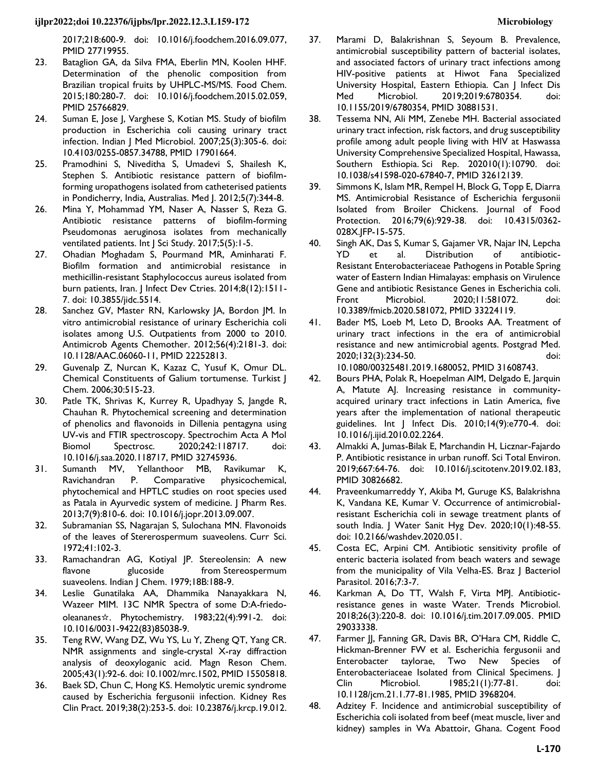2017;218:600-9. doi: [10.1016/j.foodchem.2016.09.077,](https://doi.org/10.1016/j.foodchem.2016.09.077)  PMID [27719955.](https://www.ncbi.nlm.nih.gov/pubmed/27719955)

- 23. Bataglion GA, da Silva FMA, Eberlin MN, Koolen HHF. Determination of the phenolic composition from Brazilian tropical fruits by UHPLC-MS/MS. Food Chem. 2015;180:280-7. doi: [10.1016/j.foodchem.2015.02.059,](https://doi.org/10.1016/j.foodchem.2015.02.059)  PMID [25766829.](https://www.ncbi.nlm.nih.gov/pubmed/25766829)
- 24. Suman E, Jose J, Varghese S, Kotian MS. Study of biofilm production in Escherichia coli causing urinary tract infection. Indian J Med Microbiol. 2007;25(3):305-6. doi: [10.4103/0255-0857.34788,](https://doi.org/10.4103/0255-0857.34788) PMID [17901664.](https://www.ncbi.nlm.nih.gov/pubmed/17901664)
- 25. Pramodhini S, Niveditha S, Umadevi S, Shailesh K, Stephen S. Antibiotic resistance pattern of biofilmforming uropathogens isolated from catheterised patients in Pondicherry, India, Australias. Med J. 2012;5(7):344-8.
- 26. Mina Y, Mohammad YM, Naser A, Nasser S, Reza G. Antibiotic resistance patterns of biofilm-forming Pseudomonas aeruginosa isolates from mechanically ventilated patients. Int J Sci Study. 2017;5(5):1-5.
- 27. Ohadian Moghadam S, Pourmand MR, Aminharati F. Biofilm formation and antimicrobial resistance in methicillin-resistant Staphylococcus aureus isolated from burn patients, Iran. J Infect Dev Ctries. 2014;8(12):1511-7. doi: [10.3855/jidc.5514.](https://doi.org/10.3855/jidc.5514)
- 28. Sanchez GV, Master RN, Karlowsky JA, Bordon JM. In vitro antimicrobial resistance of urinary Escherichia coli isolates among U.S. Outpatients from 2000 to 2010. Antimicrob Agents Chemother. 2012;56(4):2181-3. doi: [10.1128/AAC.06060-11,](https://doi.org/10.1128/AAC.06060-11) PMID [22252813.](https://www.ncbi.nlm.nih.gov/pubmed/22252813)
- 29. Guvenalp Z, Nurcan K, Kazaz C, Yusuf K, Omur DL. Chemical Constituents of Galium tortumense. Turkist J Chem. 2006;30:515-23.
- 30. Patle TK, Shrivas K, Kurrey R, Upadhyay S, Jangde R, Chauhan R. Phytochemical screening and determination of phenolics and flavonoids in Dillenia pentagyna using UV-vis and FTIR spectroscopy. Spectrochim Acta A Mol Biomol Spectrosc. 2020;242:118717. doi: [10.1016/j.saa.2020.118717,](https://doi.org/10.1016/j.saa.2020.118717) PMID [32745936.](https://www.ncbi.nlm.nih.gov/pubmed/32745936)
- 31. Sumanth MV, Yellanthoor MB, Ravikumar K, Ravichandran P. Comparative physicochemical, phytochemical and HPTLC studies on root species used as Patala in Ayurvedic system of medicine. J Pharm Res. 2013;7(9):810-6. doi: [10.1016/j.jopr.2013.09.007.](https://doi.org/10.1016/j.jopr.2013.09.007)
- 32. Subramanian SS, Nagarajan S, Sulochana MN. Flavonoids of the leaves of Stererospermum suaveolens. Curr Sci. 1972;41:102-3.
- 33. Ramachandran AG, Kotiyal JP. Stereolensin: A new flavone glucoside from Stereospermum suaveolens. Indian J Chem. 1979;18B:188-9.
- 34. Leslie Gunatilaka AA, Dhammika Nanayakkara N, Wazeer MIM. 13C NMR Spectra of some D:A-friedooleananes☆. Phytochemistry. 1983;22(4):991-2. doi: [10.1016/0031-9422\(83\)85038-9.](https://doi.org/10.1016/0031-9422(83)85038-9)
- 35. Teng RW, Wang DZ, Wu YS, Lu Y, Zheng QT, Yang CR. NMR assignments and single-crystal X-ray diffraction analysis of deoxyloganic acid. Magn Reson Chem. 2005;43(1):92-6. doi: [10.1002/mrc.1502,](https://doi.org/10.1002/mrc.1502) PMI[D 15505818.](https://www.ncbi.nlm.nih.gov/pubmed/15505818)
- 36. Baek SD, Chun C, Hong KS. Hemolytic uremic syndrome caused by Escherichia fergusonii infection. Kidney Res Clin Pract. 2019;38(2):253-5. doi: [10.23876/j.krcp.19.012.](https://doi.org/10.23876/j.krcp.19.012)
- 37. Marami D, Balakrishnan S, Seyoum B. Prevalence, antimicrobial susceptibility pattern of bacterial isolates, and associated factors of urinary tract infections among HIV-positive patients at Hiwot Fana Specialized University Hospital, Eastern Ethiopia. Can J Infect Dis Med Microbiol. 2019;2019:6780354. doi: [10.1155/2019/6780354,](https://doi.org/10.1155/2019/6780354) PMID [30881531.](https://www.ncbi.nlm.nih.gov/pubmed/30881531)
- 38. Tessema NN, Ali MM, Zenebe MH. Bacterial associated urinary tract infection, risk factors, and drug susceptibility profile among adult people living with HIV at Haswassa University Comprehensive Specialized Hospital, Hawassa, Southern Esthiopia. Sci Rep. 202010(1):10790. doi: [10.1038/s41598-020-67840-7,](https://doi.org/10.1038/s41598-020-67840-7) PMID [32612139.](https://www.ncbi.nlm.nih.gov/pubmed/32612139)
- 39. Simmons K, Islam MR, Rempel H, Block G, Topp E, Diarra MS. Antimicrobial Resistance of Escherichia fergusonii Isolated from Broiler Chickens. Journal of Food Protection. 2016;79(6):929-38. doi: [10.4315/0362-](https://doi.org/10.4315/0362-028X.JFP-15-575) [028X.JFP-15-575.](https://doi.org/10.4315/0362-028X.JFP-15-575)
- 40. Singh AK, Das S, Kumar S, Gajamer VR, Najar IN, Lepcha YD et al. Distribution of antibiotic-Resistant Enterobacteriaceae Pathogens in Potable Spring water of Eastern Indian Himalayas: emphasis on Virulence Gene and antibiotic Resistance Genes in Escherichia coli. Front Microbiol. 2020;11:581072. doi: [10.3389/fmicb.2020.581072,](https://doi.org/10.3389/fmicb.2020.581072) PMID [33224119.](https://www.ncbi.nlm.nih.gov/pubmed/33224119)
- 41. Bader MS, Loeb M, Leto D, Brooks AA. Treatment of urinary tract infections in the era of antimicrobial resistance and new antimicrobial agents. Postgrad Med. 2020;132(3):234-50. doi:
	- [10.1080/00325481.2019.1680052,](https://doi.org/10.1080/00325481.2019.1680052) PMI[D 31608743.](https://www.ncbi.nlm.nih.gov/pubmed/31608743)
- 42. Bours PHA, Polak R, Hoepelman AIM, Delgado E, Jarquin A, Matute AJ. Increasing resistance in communityacquired urinary tract infections in Latin America, five years after the implementation of national therapeutic guidelines. Int J Infect Dis. 2010;14(9):e770-4. doi: [10.1016/j.ijid.2010.02.2264.](https://doi.org/10.1016/j.ijid.2010.02.2264)
- 43. Almakki A, Jumas-Bilak E, Marchandin H, Licznar-Fajardo P. Antibiotic resistance in urban runoff. Sci Total Environ. 2019;667:64-76. doi: [10.1016/j.scitotenv.2019.02.183,](https://doi.org/10.1016/j.scitotenv.2019.02.183) PMID [30826682.](https://www.ncbi.nlm.nih.gov/pubmed/30826682)
- 44. Praveenkumarreddy Y, Akiba M, Guruge KS, Balakrishna K, Vandana KE, Kumar V. Occurrence of antimicrobialresistant Escherichia coli in sewage treatment plants of south India. J Water Sanit Hyg Dev. 2020;10(1):48-55. doi: [10.2166/washdev.2020.051.](https://doi.org/10.2166/washdev.2020.051)
- 45. Costa EC, Arpini CM. Antibiotic sensitivity profile of enteric bacteria isolated from beach waters and sewage from the municipality of Vila Velha-ES. Braz | Bacteriol Parasitol. 2016;7:3-7.
- 46. Karkman A, Do TT, Walsh F, Virta MPJ. Antibioticresistance genes in waste Water. Trends Microbiol. 2018;26(3):220-8. doi: [10.1016/j.tim.2017.09.005.](https://doi.org/10.1016/j.tim.2017.09.005) PMID [29033338.](https://www.ncbi.nlm.nih.gov/pubmed/29033338)
- 47. Farmer JJ, Fanning GR, Davis BR, O'Hara CM, Riddle C, Hickman-Brenner FW et al. Escherichia fergusonii and Enterobacter taylorae, Two New Species of Enterobacteriaceae Isolated from Clinical Specimens. J Clin Microbiol. 1985;21(1):77-81. doi: [10.1128/jcm.21.1.77-81.1985,](https://doi.org/10.1128/jcm.21.1.77-81.1985) PMID [3968204.](https://www.ncbi.nlm.nih.gov/pubmed/3968204)
- 48. Adzitey F. Incidence and antimicrobial susceptibility of Escherichia coli isolated from beef (meat muscle, liver and kidney) samples in Wa Abattoir, Ghana. Cogent Food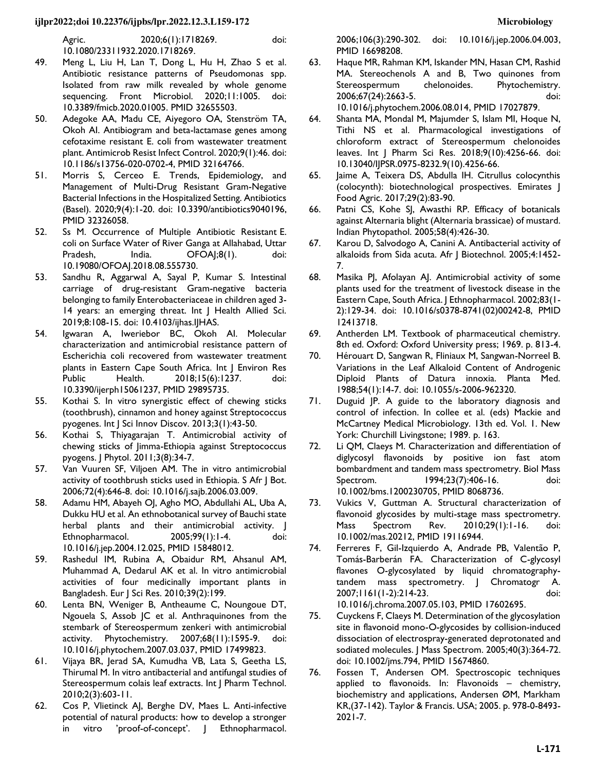Agric. 2020;6(1):1718269. doi: [10.1080/23311932.2020.1718269.](https://doi.org/10.1080/23311932.2020.1718269) 

- 49. Meng L, Liu H, Lan T, Dong L, Hu H, Zhao S et al. Antibiotic resistance patterns of Pseudomonas spp. Isolated from raw milk revealed by whole genome sequencing. Front Microbiol. 2020;11:1005. doi: [10.3389/fmicb.2020.01005.](https://doi.org/10.3389/fmicb.2020.01005) PMID [32655503.](https://www.ncbi.nlm.nih.gov/pubmed/32655503)
- 50. Adegoke AA, Madu CE, Aiyegoro OA, Stenström TA, Okoh AI. Antibiogram and beta-lactamase genes among cefotaxime resistant E. coli from wastewater treatment plant. Antimicrob Resist Infect Control. 2020;9(1):46. doi: [10.1186/s13756-020-0702-4,](https://doi.org/10.1186/s13756-020-0702-4) PMID [32164766.](https://www.ncbi.nlm.nih.gov/pubmed/32164766)
- 51. Morris S, Cerceo E. Trends, Epidemiology, and Management of Multi-Drug Resistant Gram-Negative Bacterial Infections in the Hospitalized Setting. Antibiotics (Basel). 2020;9(4):1-20. doi: [10.3390/antibiotics9040196,](https://doi.org/10.3390/antibiotics9040196)  PMID [32326058.](https://www.ncbi.nlm.nih.gov/pubmed/32326058)
- 52. Ss M. Occurrence of Multiple Antibiotic Resistant E. coli on Surface Water of River Ganga at Allahabad, Uttar Pradesh, India. OFOAJ;8(1). doi: [10.19080/OFOAJ.2018.08.555730.](https://doi.org/10.19080/OFOAJ.2018.08.555730)
- 53. Sandhu R, Aggarwal A, Sayal P, Kumar S. Intestinal carriage of drug-resistant Gram-negative bacteria belonging to family Enterobacteriaceae in children aged 3- 14 years: an emerging threat. Int J Health Allied Sci. 2019;8:108-15. doi: [10.4103/ijhas.IJHAS.](https://doi.org/10.4103/ijhas.ijhas)
- 54. Igwaran A, Iweriebor BC, Okoh AI. Molecular characterization and antimicrobial resistance pattern of Escherichia coli recovered from wastewater treatment plants in Eastern Cape South Africa. Int J Environ Res Public Health. 2018;15(6):1237. doi: [10.3390/ijerph15061237,](https://doi.org/10.3390/ijerph15061237) PMID [29895735.](https://www.ncbi.nlm.nih.gov/pubmed/29895735)
- 55. Kothai S. In vitro synergistic effect of chewing sticks (toothbrush), cinnamon and honey against Streptococcus pyogenes. Int J Sci Innov Discov. 2013;3(1):43-50.
- 56. Kothai S, Thiyagarajan T. Antimicrobial activity of chewing sticks of Jimma-Ethiopia against Streptococcus pyogens. J Phytol. 2011;3(8):34-7.
- 57. Van Vuuren SF, Viljoen AM. The in vitro antimicrobial activity of toothbrush sticks used in Ethiopia. S Afr J Bot. 2006;72(4):646-8. doi: [10.1016/j.sajb.2006.03.009.](https://doi.org/10.1016/j.sajb.2006.03.009)
- 58. Adamu HM, Abayeh OJ, Agho MO, Abdullahi AL, Uba A, Dukku HU et al. An ethnobotanical survey of Bauchi state herbal plants and their antimicrobial activity. J Ethnopharmacol. 2005;99(1):1-4. doi: [10.1016/j.jep.2004.12.025,](https://doi.org/10.1016/j.jep.2004.12.025) PMID [15848012.](https://www.ncbi.nlm.nih.gov/pubmed/15848012)
- 59. Rashedul IM, Rubina A, Obaidur RM, Ahsanul AM, Muhammad A, Dedarul AK et al. In vitro antimicrobial activities of four medicinally important plants in Bangladesh. Eur J Sci Res. 2010;39(2):199.
- 60. Lenta BN, Weniger B, Antheaume C, Noungoue DT, Ngouela S, Assob JC et al. Anthraquinones from the stembark of Stereospermum zenkeri with antimicrobial activity. Phytochemistry. 2007;68(11):1595-9. doi: [10.1016/j.phytochem.2007.03.037,](https://doi.org/10.1016/j.phytochem.2007.03.037) PMID [17499823.](https://www.ncbi.nlm.nih.gov/pubmed/17499823)
- 61. Vijaya BR, Jerad SA, Kumudha VB, Lata S, Geetha LS, Thirumal M. In vitro antibacterial and antifungal studies of Stereospermum colais leaf extracts. Int J Pharm Technol. 2010;2(3):603-11.
- 62. Cos P, Vlietinck AJ, Berghe DV, Maes L. Anti-infective potential of natural products: how to develop a stronger in vitro 'proof-of-concept'. J Ethnopharmacol.

2006;106(3):290-302. doi: [10.1016/j.jep.2006.04.003,](https://doi.org/10.1016/j.jep.2006.04.003) PMID [16698208.](https://www.ncbi.nlm.nih.gov/pubmed/16698208) 

63. Haque MR, Rahman KM, Iskander MN, Hasan CM, Rashid MA. Stereochenols A and B, Two quinones from Stereospermum chelonoides. Phytochemistry. 2006;67(24):2663-5. doi:

[10.1016/j.phytochem.2006.08.014,](https://doi.org/10.1016/j.phytochem.2006.08.014) PMID [17027879.](https://www.ncbi.nlm.nih.gov/pubmed/17027879) 

- 64. Shanta MA, Mondal M, Majumder S, Islam MI, Hoque N, Tithi NS et al. Pharmacological investigations of chloroform extract of Stereospermum chelonoides leaves. Int J Pharm Sci Res. 2018;9(10):4256-66. doi: [10.13040/IJPSR.0975-8232.9\(10\).4256-66.](https://doi.org/10.13040/ijpsr.0975-8232.9(10).4256-66)
- 65. Jaime A, Teixera DS, Abdulla IH. Citrullus colocynthis (colocynth): biotechnological prospectives. Emirates J Food Agric. 2017;29(2):83-90.
- 66. Patni CS, Kohe SJ, Awasthi RP. Efficacy of botanicals against Alternaria blight (Alternaria brassicae) of mustard. Indian Phytopathol. 2005;58(4):426-30.
- 67. Karou D, Salvodogo A, Canini A. Antibacterial activity of alkaloids from Sida acuta. Afr J Biotechnol. 2005;4:1452- 7.
- 68. Masika PJ, Afolayan AJ. Antimicrobial activity of some plants used for the treatment of livestock disease in the Eastern Cape, South Africa. J Ethnopharmacol. 2002;83(1- 2):129-34. doi: [10.1016/s0378-8741\(02\)00242-8,](https://doi.org/10.1016/s0378-8741(02)00242-8) PMID [12413718.](https://www.ncbi.nlm.nih.gov/pubmed/12413718)
- 69. Antherden LM. Textbook of pharmaceutical chemistry. 8th ed. Oxford: Oxford University press; 1969. p. 813-4.
- 70. Hérouart D, Sangwan R, Fliniaux M, Sangwan-Norreel B. Variations in the Leaf Alkaloid Content of Androgenic Diploid Plants of Datura innoxia. Planta Med. 1988;54(1):14-7. doi: [10.1055/s-2006-962320.](https://doi.org/10.1055/s-2006-962320)
- 71. Duguid JP. A guide to the laboratory diagnosis and control of infection. In collee et al. (eds) Mackie and McCartney Medical Microbiology. 13th ed. Vol. 1. New York: Churchill Livingstone; 1989. p. 163.
- 72. Li QM, Claeys M. Characterization and differentiation of diglycosyl flavonoids by positive ion fast atom bombardment and tandem mass spectrometry. Biol Mass Spectrom. 1994;23(7):406-16. doi: [10.1002/bms.1200230705,](https://doi.org/10.1002/bms.1200230705) PMID [8068736.](https://www.ncbi.nlm.nih.gov/pubmed/8068736)
- 73. Vukics V, Guttman A. Structural characterization of flavonoid glycosides by multi-stage mass spectrometry. Mass Spectrom Rev. 2010;29(1):1-16. doi: [10.1002/mas.20212,](https://doi.org/10.1002/mas.20212) PMID [19116944.](https://www.ncbi.nlm.nih.gov/pubmed/19116944)
- 74. Ferreres F, Gil-Izquierdo A, Andrade PB, Valentão P, Tomás-Barberán FA. Characterization of C-glycosyl flavones O-glycosylated by liquid chromatographytandem mass spectrometry. J Chromatogr A. 2007;1161(1-2):214-23. doi: [10.1016/j.chroma.2007.05.103,](https://doi.org/10.1016/j.chroma.2007.05.103) PMID [17602695.](https://www.ncbi.nlm.nih.gov/pubmed/17602695)
- 75. Cuyckens F, Claeys M. Determination of the glycosylation site in flavonoid mono-O-glycosides by collision-induced dissociation of electrospray-generated deprotonated and sodiated molecules. | Mass Spectrom. 2005;40(3):364-72. doi: [10.1002/jms.794,](https://doi.org/10.1002/jms.794) PMID [15674860.](https://www.ncbi.nlm.nih.gov/pubmed/15674860)
- 76. Fossen T, Andersen OM. Spectroscopic techniques applied to flavonoids. In: Flavonoids – chemistry, biochemistry and applications, Andersen ØM, Markham KR,(37-142). Taylor & Francis. USA; 2005. p. 978-0-8493- 2021-7.